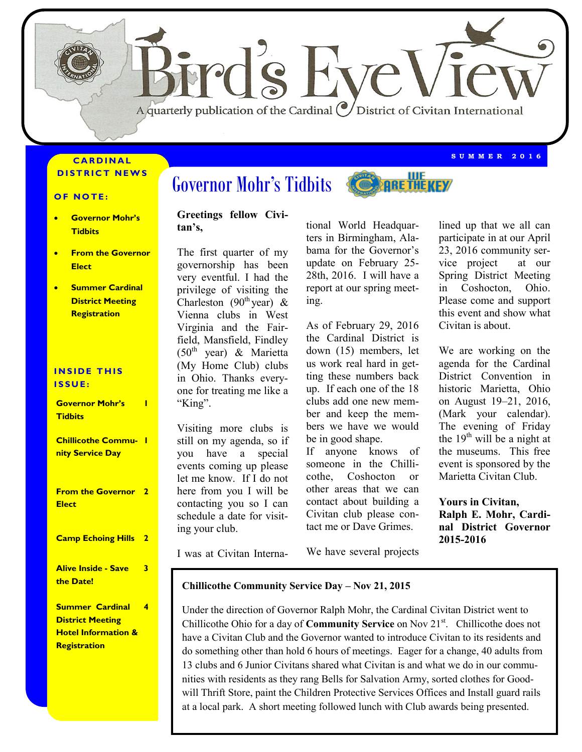

#### **C A R D I N A L DISTRICT NEWS**

#### **OF NOTE:**

- **Governor Mohr's Tidbits**
- **From the Governor Elect**
- **Summer Cardinal District Meeting Registration**

#### **INSIDE THIS I S S U E :**

**Governor Mohr's Tidbits 1**

**Chillicothe Commu-1 nity Service Day**

**From the Governor 2 Elect**

#### **Camp Echoing Hills 2**

**Alive Inside - Save the Date!**

**3**

**Summer Cardinal District Meeting Hotel Information & Registration 4**

# Governor Mohr's Tidbits **COMPAGE THE KEY**

#### **Greetings fellow Civitan's,**

The first quarter of my governorship has been very eventful. I had the privilege of visiting the Charleston (90<sup>th</sup> year) & Vienna clubs in West Virginia and the Fairfield, Mansfield, Findley  $(50<sup>th</sup>$  year) & Marietta (My Home Club) clubs in Ohio. Thanks everyone for treating me like a "King".

Visiting more clubs is still on my agenda, so if you have a special events coming up please let me know. If I do not here from you I will be contacting you so I can schedule a date for visiting your club.

tional World Headquarters in Birmingham, Alabama for the Governor's update on February 25- 28th, 2016. I will have a report at our spring meeting.

As of February 29, 2016 the Cardinal District is down (15) members, let us work real hard in getting these numbers back up. If each one of the 18 clubs add one new member and keep the members we have we would be in good shape.

If anyone knows of someone in the Chillicothe, Coshocton or other areas that we can contact about building a Civitan club please contact me or Dave Grimes.

lined up that we all can participate in at our April 23, 2016 community service project at our Spring District Meeting in Coshocton, Ohio. Please come and support this event and show what Civitan is about.

**S U M M E R 2 0 1 6**

We are working on the agenda for the Cardinal District Convention in historic Marietta, Ohio on August 19–21, 2016, (Mark your calendar). The evening of Friday the  $19<sup>th</sup>$  will be a night at the museums. This free event is sponsored by the Marietta Civitan Club.

**Yours in Civitan, Ralph E. Mohr, Cardinal District Governor 2015-2016**

I was at Civitan Interna-

We have several projects

#### **Chillicothe Community Service Day – Nov 21, 2015**

Under the direction of Governor Ralph Mohr, the Cardinal Civitan District went to Chillicothe Ohio for a day of **Community Service** on Nov 21<sup>st</sup>. Chillicothe does not have a Civitan Club and the Governor wanted to introduce Civitan to its residents and do something other than hold 6 hours of meetings. Eager for a change, 40 adults from 13 clubs and 6 Junior Civitans shared what Civitan is and what we do in our communities with residents as they rang Bells for Salvation Army, sorted clothes for Goodwill Thrift Store, paint the Children Protective Services Offices and Install guard rails at a local park. A short meeting followed lunch with Club awards being presented.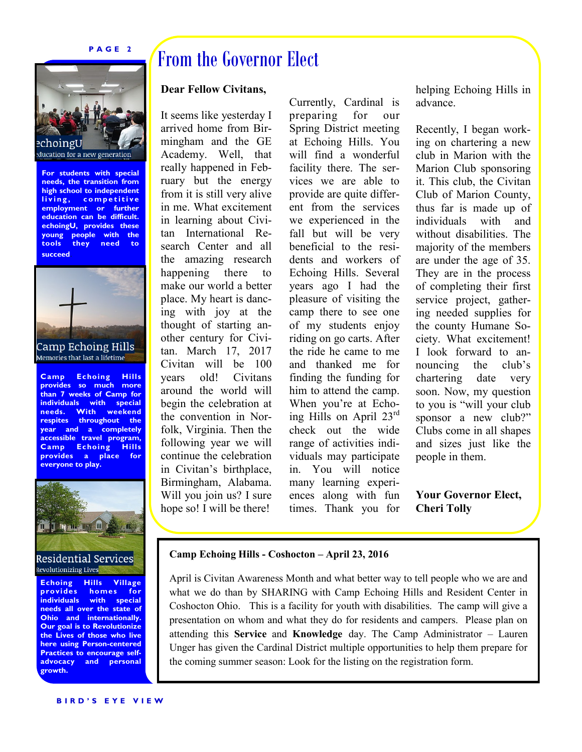#### **P A G E 2**



**For students with special needs, the transition from high school to independent**  living, competitive **employment or further education can be difficult. echoingU, provides these young people with the tools they need to succeed**.



# Memories that last a lifetime

**Camp Echoing Hills provides so much more than 7 weeks of Camp for individuals with special needs. With weekend respites throughout the year and a completely accessible travel program, Camp Echoing Hills provides a place for everyone to play.**



**Echoing Hills Village**  homes for **individuals with special needs all over the state of Ohio and internationally. Our goal is to Revolutionize the Lives of those who live here using Person-centered Practices to encourage selfadvocacy and personal growth.**

# From the Governor Elect

#### **Dear Fellow Civitans,**

It seems like yesterday I arrived home from Birmingham and the GE Academy. Well, that really happened in February but the energy from it is still very alive in me. What excitement in learning about Civitan International Research Center and all the amazing research happening there to make our world a better place. My heart is dancing with joy at the thought of starting another century for Civitan. March 17, 2017 Civitan will be 100 years old! Civitans around the world will begin the celebration at the convention in Norfolk, Virginia. Then the following year we will continue the celebration in Civitan's birthplace, Birmingham, Alabama. Will you join us? I sure hope so! I will be there!

Currently, Cardinal is preparing for our Spring District meeting at Echoing Hills. You will find a wonderful facility there. The services we are able to provide are quite different from the services we experienced in the fall but will be very beneficial to the residents and workers of Echoing Hills. Several years ago I had the pleasure of visiting the camp there to see one of my students enjoy riding on go carts. After the ride he came to me and thanked me for finding the funding for him to attend the camp. When you're at Echoing Hills on April 23rd check out the wide range of activities individuals may participate in. You will notice many learning experiences along with fun times. Thank you for helping Echoing Hills in advance.

Recently, I began working on chartering a new club in Marion with the Marion Club sponsoring it. This club, the Civitan Club of Marion County, thus far is made up of individuals with and without disabilities. The majority of the members are under the age of 35. They are in the process of completing their first service project, gathering needed supplies for the county Humane Society. What excitement! I look forward to announcing the club's chartering date very soon. Now, my question to you is "will your club sponsor a new club?" Clubs come in all shapes and sizes just like the people in them.

**Your Governor Elect, Cheri Tolly**

#### **Camp Echoing Hills - Coshocton – April 23, 2016**

April is Civitan Awareness Month and what better way to tell people who we are and what we do than by SHARING with Camp Echoing Hills and Resident Center in Coshocton Ohio. This is a facility for youth with disabilities. The camp will give a presentation on whom and what they do for residents and campers. Please plan on attending this **Service** and **Knowledge** day. The Camp Administrator – Lauren Unger has given the Cardinal District multiple opportunities to help them prepare for the coming summer season: Look for the listing on the registration form.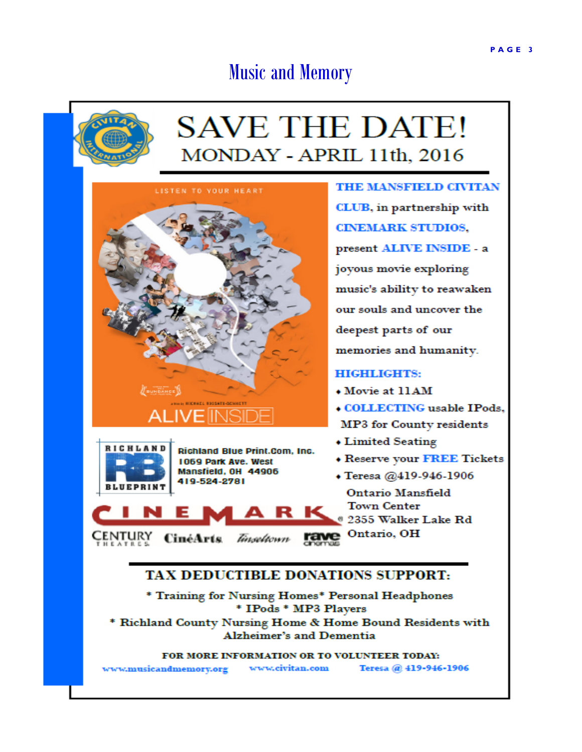#### PAGE 3

# **Music and Memory**



# **SAVE THE DATE!** MONDAY - APRIL 11th, 2016

LISTEN TO YOUR HEART **CONDANCE** 



Richland Blue Print.Com, Inc. 1069 Park Ave. West Mansfield, OH 44906 419-524-2781

**THE MANSFIELD CIVITAN** CLUB, in partnership with **CINEMARK STUDIOS.** present ALIVE INSIDE - a joyous movie exploring music's ability to reawaken our souls and uncover the deepest parts of our memories and humanity. **HIGHLIGHTS:** 

- Movie at 11AM
- **COLLECTING** usable IPods, MP3 for County residents
- Limited Seating
- **\* Reserve your FREE Tickets**
- · Teresa @419-946-1906

**Ontario Mansfield Town Center** 2355 Walker Lake Rd Ontario, OH CENTURY CinéArts *Tinseltown* rave

## **TAX DEDUCTIBLE DONATIONS SUPPORT:**

R K

\* Training for Nursing Homes\* Personal Headphones \* IPods \* MP3 Players \* Richland County Nursing Home & Home Bound Residents with **Alzheimer's and Dementia** 

FOR MORE INFORMATION OR TO VOLUNTEER TODAY:

www.civitan.com Teresa @ 419-946-1906 www.musicandmemory.org